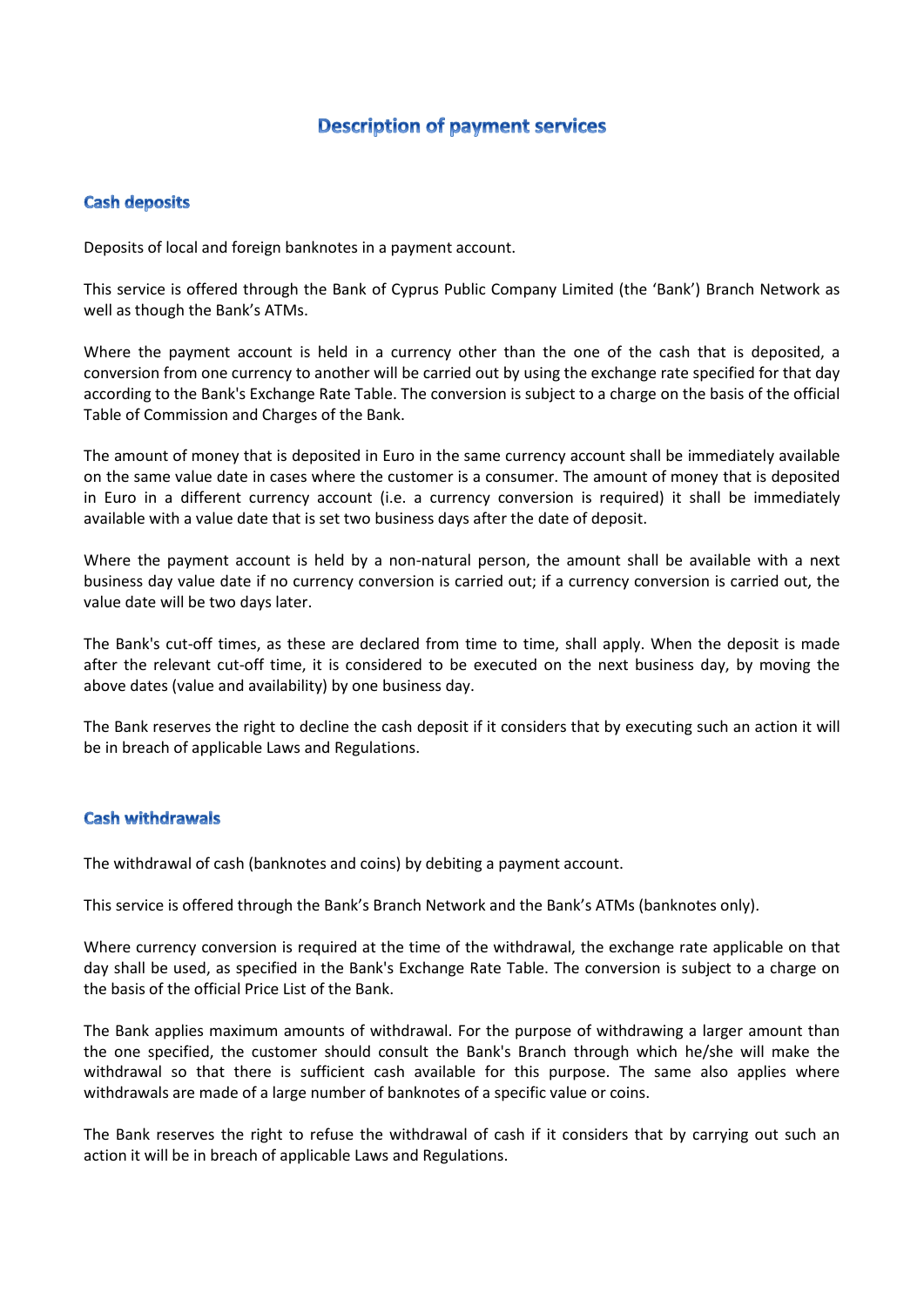# **Description of payment services**

## **Cash deposits**

Deposits of local and foreign banknotes in a payment account.

This service is offered through the Bank of Cyprus Public Company Limited (the 'Bank') Branch Network as well as though the Bank's ATMs.

Where the payment account is held in a currency other than the one of the cash that is deposited, a conversion from one currency to another will be carried out by using the exchange rate specified for that day according to the Bank's Exchange Rate Table. The conversion is subject to a charge on the basis of the official Table of Commission and Charges of the Bank.

The amount of money that is deposited in Euro in the same currency account shall be immediately available on the same value date in cases where the customer is a consumer. The amount of money that is deposited in Euro in a different currency account (i.e. a currency conversion is required) it shall be immediately available with a value date that is set two business days after the date of deposit.

Where the payment account is held by a non-natural person, the amount shall be available with a next business day value date if no currency conversion is carried out; if a currency conversion is carried out, the value date will be two days later.

The Bank's cut-off times, as these are declared from time to time, shall apply. When the deposit is made after the relevant cut-off time, it is considered to be executed on the next business day, by moving the above dates (value and availability) by one business day.

The Bank reserves the right to decline the cash deposit if it considers that by executing such an action it will be in breach of applicable Laws and Regulations.

#### **Cash withdrawals**

The withdrawal of cash (banknotes and coins) by debiting a payment account.

This service is offered through the Bank's Branch Network and the Bank's ATMs (banknotes only).

Where currency conversion is required at the time of the withdrawal, the exchange rate applicable on that day shall be used, as specified in the Bank's Exchange Rate Table. The conversion is subject to a charge on the basis of the official Price List of the Bank.

The Bank applies maximum amounts of withdrawal. For the purpose of withdrawing a larger amount than the one specified, the customer should consult the Bank's Branch through which he/she will make the withdrawal so that there is sufficient cash available for this purpose. The same also applies where withdrawals are made of a large number of banknotes of a specific value or coins.

The Bank reserves the right to refuse the withdrawal of cash if it considers that by carrying out such an action it will be in breach of applicable Laws and Regulations.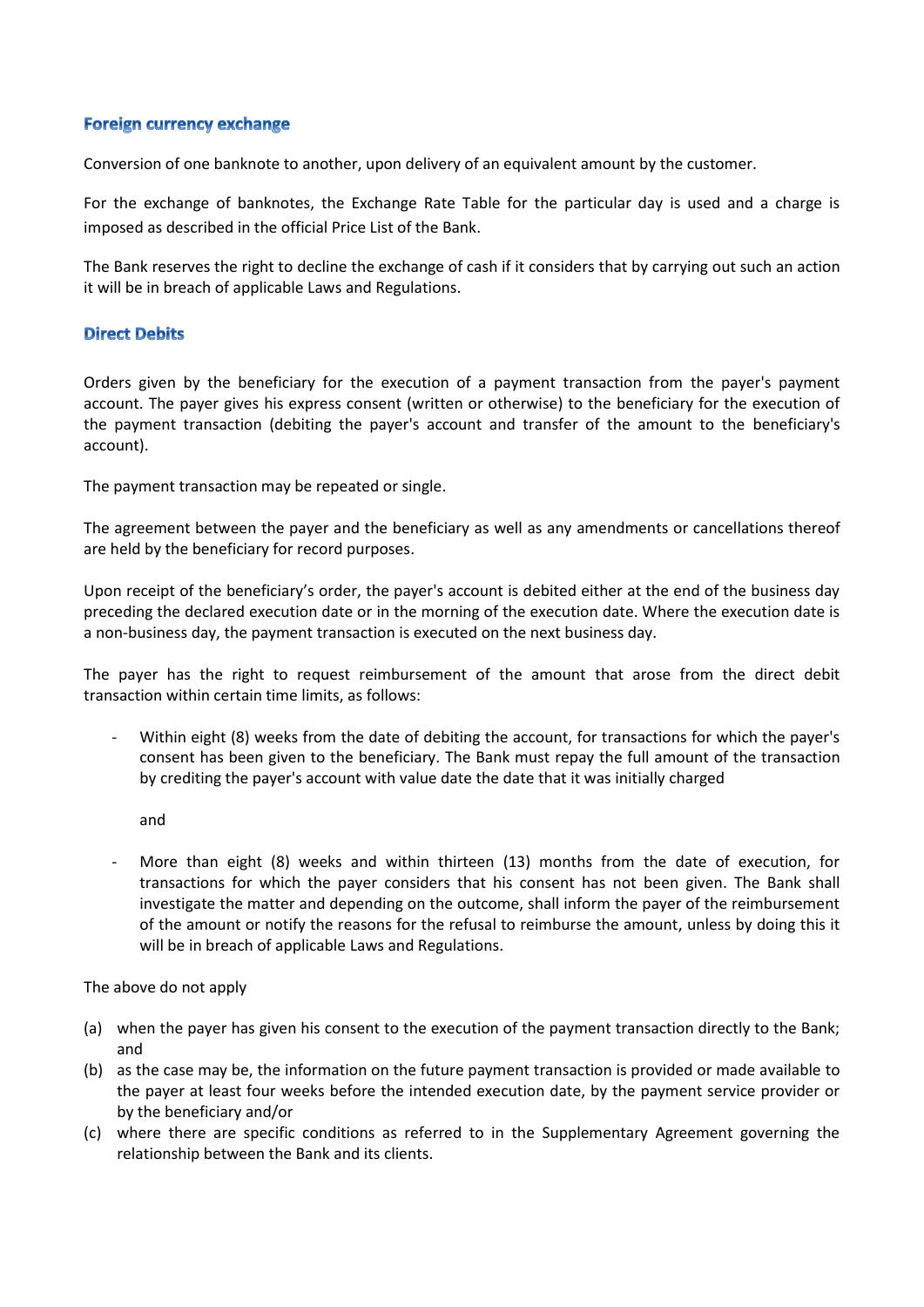## **Foreign currency exchange**

Conversion of one banknote to another, upon delivery of an equivalent amount by the customer.

For the exchange of banknotes, the Exchange Rate Table for the particular day is used and a charge is imposed as described in the official Price List of the Bank.

The Bank reserves the right to decline the exchange of cash if it considers that by carrying out such an action it will be in breach of applicable Laws and Regulations.

## **Direct Debits**

Orders given by the beneficiary for the execution of a payment transaction from the payer's payment account. The payer gives his express consent (written or otherwise) to the beneficiary for the execution of the payment transaction (debiting the payer's account and transfer of the amount to the beneficiary's account).

The payment transaction may be repeated or single.

The agreement between the payer and the beneficiary as well as any amendments or cancellations thereof are held by the beneficiary for record purposes.

Upon receipt of the beneficiary's order, the payer's account is debited either at the end of the business day preceding the declared execution date or in the morning of the execution date. Where the execution date is a non-business day, the payment transaction is executed on the next business day.

The payer has the right to request reimbursement of the amount that arose from the direct debit transaction within certain time limits, as follows:

- Within eight (8) weeks from the date of debiting the account, for transactions for which the payer's consent has been given to the beneficiary. The Bank must repay the full amount of the transaction by crediting the payer's account with value date the date that it was initially charged
	- and
- More than eight (8) weeks and within thirteen (13) months from the date of execution, for transactions for which the payer considers that his consent has not been given. The Bank shall investigate the matter and depending on the outcome, shall inform the payer of the reimbursement of the amount or notify the reasons for the refusal to reimburse the amount, unless by doing this it will be in breach of applicable Laws and Regulations.

The above do not apply

- (a) when the payer has given his consent to the execution of the payment transaction directly to the Bank; and
- (b) as the case may be, the information on the future payment transaction is provided or made available to the payer at least four weeks before the intended execution date, by the payment service provider or by the beneficiary and/or
- (c) where there are specific conditions as referred to in the Supplementary Agreement governing the relationship between the Bank and its clients.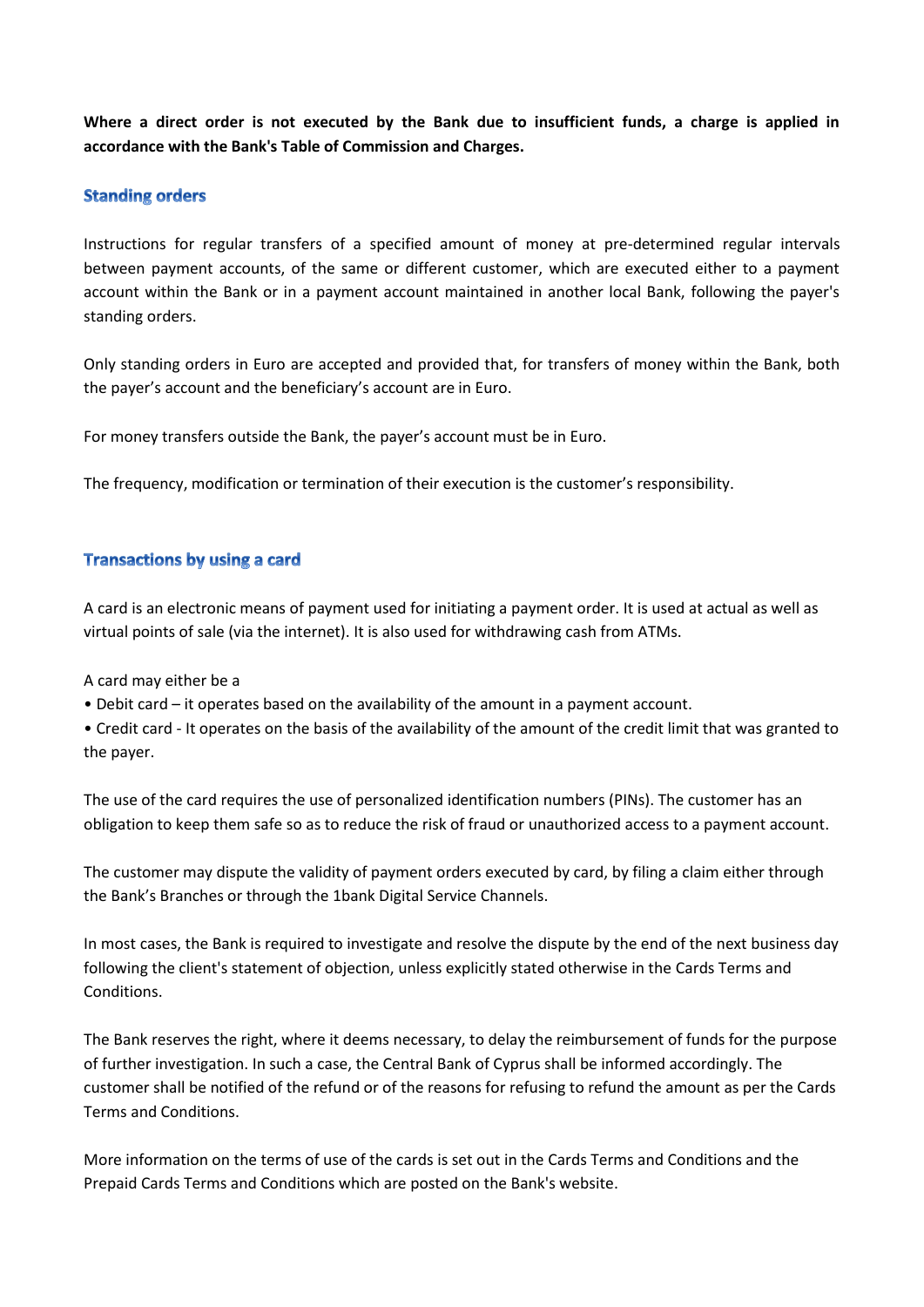**Where a direct order is not executed by the Bank due to insufficient funds, a charge is applied in accordance with the Bank's Table of Commission and Charges.**

## **Standing orders**

Instructions for regular transfers of a specified amount of money at pre-determined regular intervals between payment accounts, of the same or different customer, which are executed either to a payment account within the Bank or in a payment account maintained in another local Bank, following the payer's standing orders.

Only standing orders in Euro are accepted and provided that, for transfers of money within the Bank, both the payer's account and the beneficiary's account are in Euro.

For money transfers outside the Bank, the payer's account must be in Euro.

The frequency, modification or termination of their execution is the customer's responsibility.

## **Transactions by using a card**

A card is an electronic means of payment used for initiating a payment order. It is used at actual as well as virtual points of sale (via the internet). It is also used for withdrawing cash from ATMs.

A card may either be a

• Debit card – it operates based on the availability of the amount in a payment account.

• Credit card - It operates on the basis of the availability of the amount of the credit limit that was granted to the payer.

The use of the card requires the use of personalized identification numbers (PINs). The customer has an obligation to keep them safe so as to reduce the risk of fraud or unauthorized access to a payment account.

The customer may dispute the validity of payment orders executed by card, by filing a claim either through the Bank's Branches or through the 1bank Digital Service Channels.

In most cases, the Bank is required to investigate and resolve the dispute by the end of the next business day following the client's statement of objection, unless explicitly stated otherwise in the Cards Terms and Conditions.

The Bank reserves the right, where it deems necessary, to delay the reimbursement of funds for the purpose of further investigation. In such a case, the Central Bank of Cyprus shall be informed accordingly. The customer shall be notified of the refund or of the reasons for refusing to refund the amount as per the Cards Terms and Conditions.

More information on the terms of use of the cards is set out in the Cards Terms and Conditions and the Prepaid Cards Terms and Conditions which are posted on the Bank's website.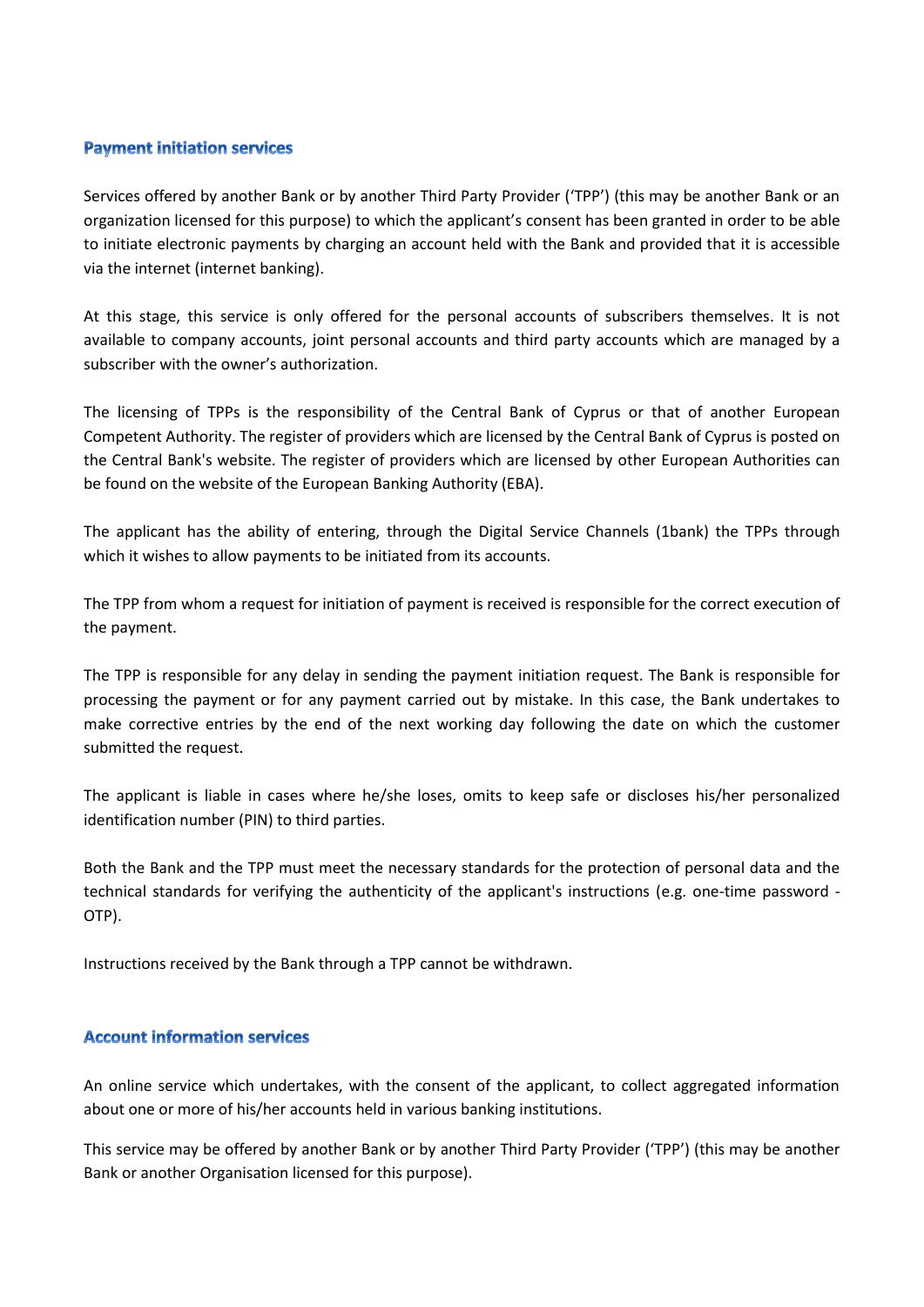#### **Payment initiation services**

Services offered by another Bank or by another Third Party Provider ('TPP') (this may be another Bank or an organization licensed for this purpose) to which the applicant's consent has been granted in order to be able to initiate electronic payments by charging an account held with the Bank and provided that it is accessible via the internet (internet banking).

At this stage, this service is only offered for the personal accounts of subscribers themselves. It is not available to company accounts, joint personal accounts and third party accounts which are managed by a subscriber with the owner's authorization.

The licensing of TPPs is the responsibility of the Central Bank of Cyprus or that of another European Competent Authority. The register of providers which are licensed by the Central Bank of Cyprus is posted on the Central Bank's website. The register of providers which are licensed by other European Authorities can be found on the website of the European Banking Authority (EBA).

The applicant has the ability of entering, through the Digital Service Channels (1bank) the TPPs through which it wishes to allow payments to be initiated from its accounts.

The TPP from whom a request for initiation of payment is received is responsible for the correct execution of the payment.

The TPP is responsible for any delay in sending the payment initiation request. The Bank is responsible for processing the payment or for any payment carried out by mistake. In this case, the Bank undertakes to make corrective entries by the end of the next working day following the date on which the customer submitted the request.

The applicant is liable in cases where he/she loses, omits to keep safe or discloses his/her personalized identification number (PIN) to third parties.

Both the Bank and the TPP must meet the necessary standards for the protection of personal data and the technical standards for verifying the authenticity of the applicant's instructions (e.g. one-time password - OTP).

Instructions received by the Bank through a TPP cannot be withdrawn.

#### **Account information services**

An online service which undertakes, with the consent of the applicant, to collect aggregated information about one or more of his/her accounts held in various banking institutions.

This service may be offered by another Bank or by another Third Party Provider ('TPP') (this may be another Bank or another Organisation licensed for this purpose).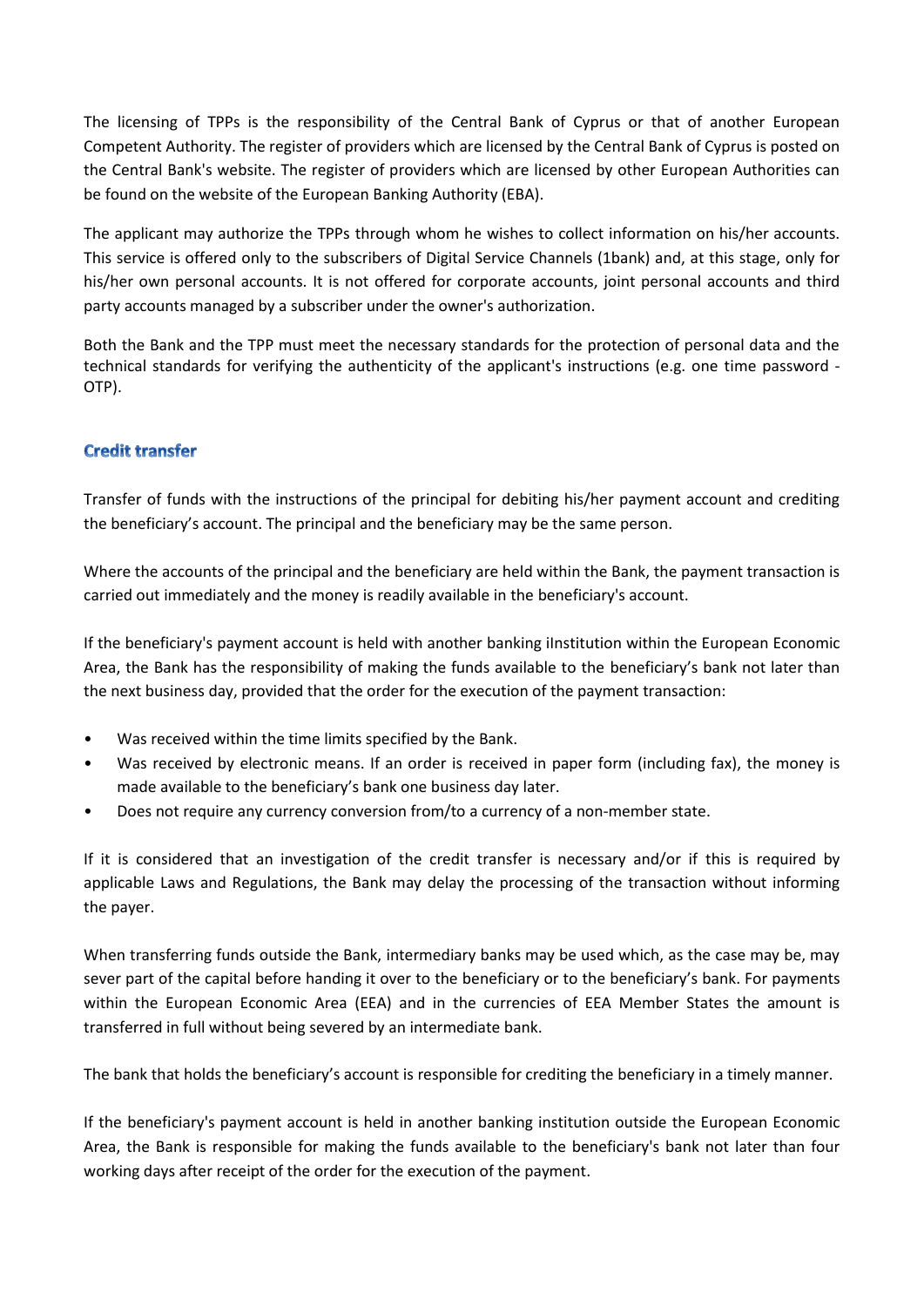The licensing of TPPs is the responsibility of the Central Bank of Cyprus or that of another European Competent Authority. The register of providers which are licensed by the Central Bank of Cyprus is posted on the Central Bank's website. The register of providers which are licensed by other European Authorities can be found on the website of the European Banking Authority (EBA).

The applicant may authorize the TPPs through whom he wishes to collect information on his/her accounts. This service is offered only to the subscribers of Digital Service Channels (1bank) and, at this stage, only for his/her own personal accounts. It is not offered for corporate accounts, joint personal accounts and third party accounts managed by a subscriber under the owner's authorization.

Both the Bank and the TPP must meet the necessary standards for the protection of personal data and the technical standards for verifying the authenticity of the applicant's instructions (e.g. one time password - OTP).

## **Credit transfer**

Transfer of funds with the instructions of the principal for debiting his/her payment account and crediting the beneficiary's account. The principal and the beneficiary may be the same person.

Where the accounts of the principal and the beneficiary are held within the Bank, the payment transaction is carried out immediately and the money is readily available in the beneficiary's account.

If the beneficiary's payment account is held with another banking iInstitution within the European Economic Area, the Bank has the responsibility of making the funds available to the beneficiary's bank not later than the next business day, provided that the order for the execution of the payment transaction:

- Was received within the time limits specified by the Bank.
- Was received by electronic means. If an order is received in paper form (including fax), the money is made available to the beneficiary's bank one business day later.
- Does not require any currency conversion from/to a currency of a non-member state.

If it is considered that an investigation of the credit transfer is necessary and/or if this is required by applicable Laws and Regulations, the Bank may delay the processing of the transaction without informing the payer.

When transferring funds outside the Bank, intermediary banks may be used which, as the case may be, may sever part of the capital before handing it over to the beneficiary or to the beneficiary's bank. For payments within the European Economic Area (EEA) and in the currencies of EEA Member States the amount is transferred in full without being severed by an intermediate bank.

The bank that holds the beneficiary's account is responsible for crediting the beneficiary in a timely manner.

If the beneficiary's payment account is held in another banking institution outside the European Economic Area, the Bank is responsible for making the funds available to the beneficiary's bank not later than four working days after receipt of the order for the execution of the payment.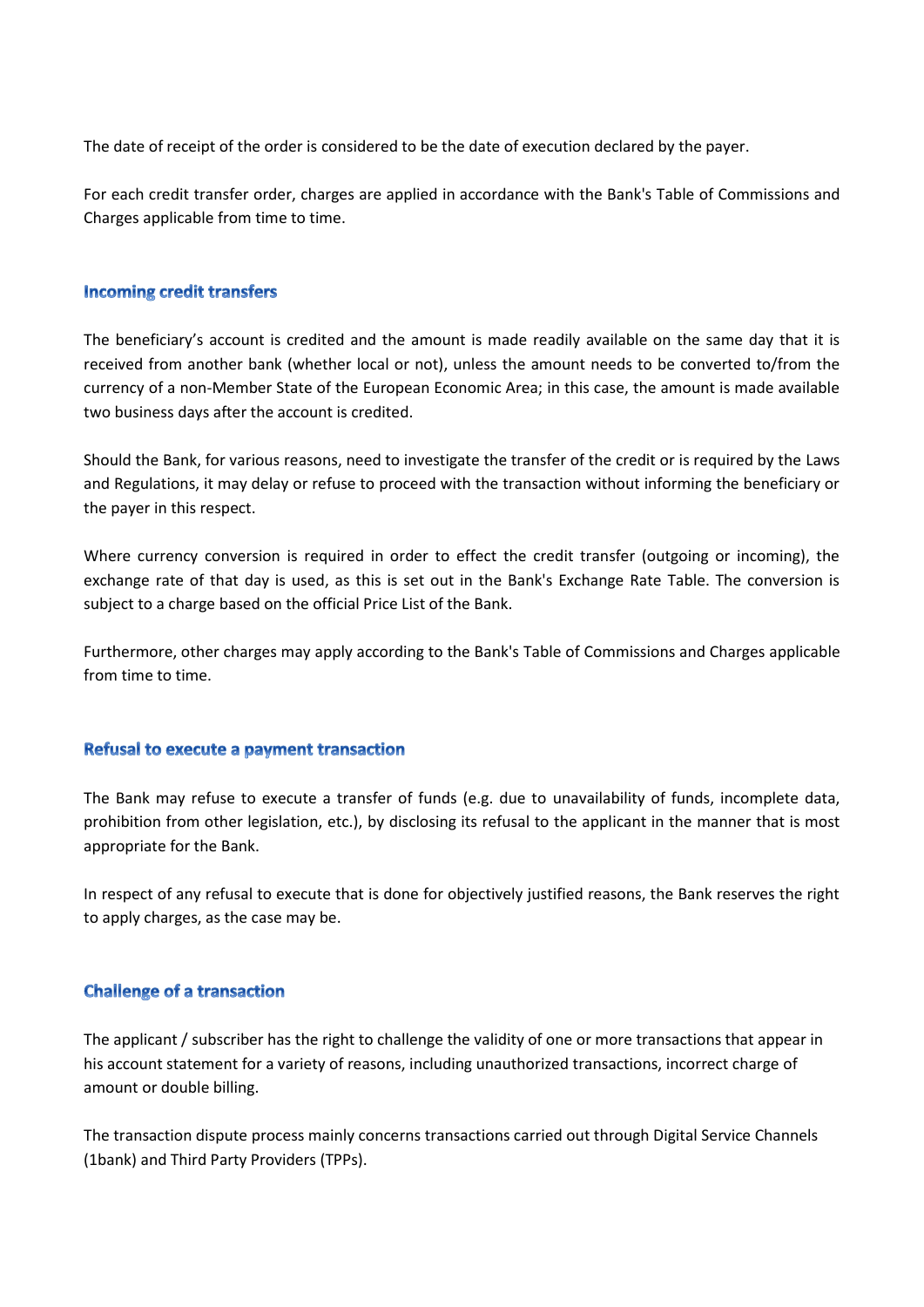The date of receipt of the order is considered to be the date of execution declared by the payer.

For each credit transfer order, charges are applied in accordance with the Bank's Table of Commissions and Charges applicable from time to time.

## **Incoming credit transfers**

The beneficiary's account is credited and the amount is made readily available on the same day that it is received from another bank (whether local or not), unless the amount needs to be converted to/from the currency of a non-Member State of the European Economic Area; in this case, the amount is made available two business days after the account is credited.

Should the Bank, for various reasons, need to investigate the transfer of the credit or is required by the Laws and Regulations, it may delay or refuse to proceed with the transaction without informing the beneficiary or the payer in this respect.

Where currency conversion is required in order to effect the credit transfer (outgoing or incoming), the exchange rate of that day is used, as this is set out in the Bank's Exchange Rate Table. The conversion is subject to a charge based on the official Price List of the Bank.

Furthermore, other charges may apply according to the Bank's Table of Commissions and Charges applicable from time to time.

#### **Refusal to execute a payment transaction**

The Bank may refuse to execute a transfer of funds (e.g. due to unavailability of funds, incomplete data, prohibition from other legislation, etc.), by disclosing its refusal to the applicant in the manner that is most appropriate for the Bank.

In respect of any refusal to execute that is done for objectively justified reasons, the Bank reserves the right to apply charges, as the case may be.

#### **Challenge of a transaction**

The applicant / subscriber has the right to challenge the validity of one or more transactions that appear in his account statement for a variety of reasons, including unauthorized transactions, incorrect charge of amount or double billing.

The transaction dispute process mainly concerns transactions carried out through Digital Service Channels (1bank) and Third Party Providers (TPPs).